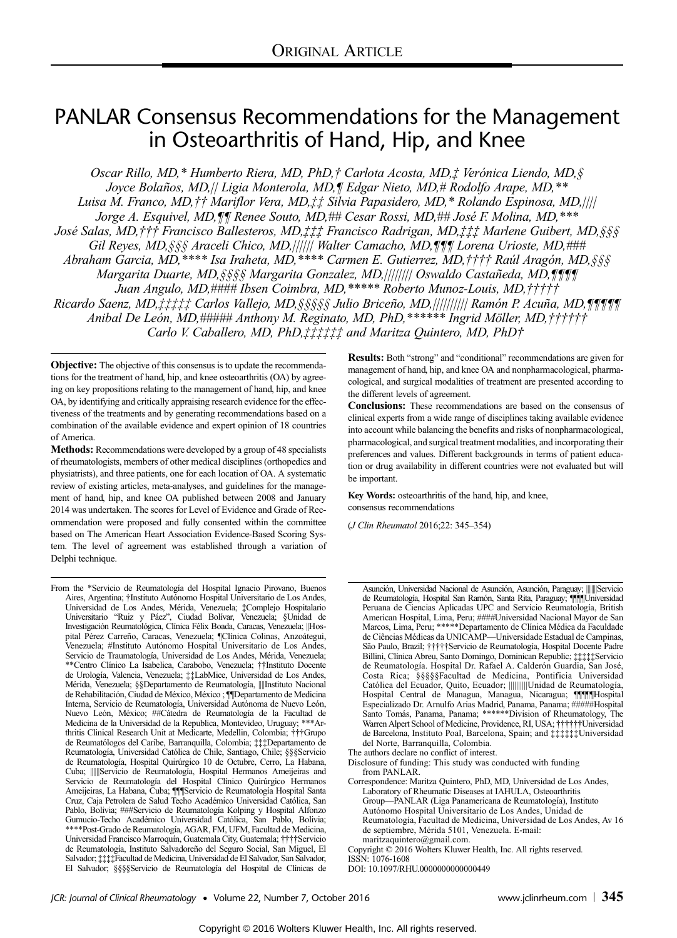# PANLAR Consensus Recommendations for the Management in Osteoarthritis of Hand, Hip, and Knee

Oscar Rillo, MD,\* Humberto Riera, MD, PhD,† Carlota Acosta, MD,‡ Verónica Liendo, MD,§ Joyce Bolaños, MD,|| Ligia Monterola, MD,¶ Edgar Nieto, MD,# Rodolfo Arape, MD,\*\* Luisa M. Franco, MD,†† Mariflor Vera, MD,‡‡ Silvia Papasidero, MD,\* Rolando Espinosa, MD,|||| Jorge A. Esquivel, MD,¶¶ Renee Souto, MD,## Cesar Rossi, MD,## José F. Molina, MD,\*\*\* José Salas, MD,††† Francisco Ballesteros, MD,‡‡‡ Francisco Radrigan, MD,‡‡‡ Marlene Guibert, MD,§§§ Gil Reyes, MD,§§§ Araceli Chico, MD,|||||| Walter Camacho, MD,¶¶¶ Lorena Urioste, MD,### Abraham Garcia, MD,\*\*\*\* Isa Iraheta, MD,\*\*\*\* Carmen E. Gutierrez, MD,†††† Raúl Aragón, MD,§§§ Margarita Duarte, MD,§§§§ Margarita Gonzalez, MD,|||||||| Oswaldo Castañeda, MD,¶¶¶¶ Juan Angulo, MD,#### Ibsen Coimbra, MD,\*\*\*\*\* Roberto Munoz-Louis, MD,††††† Ricardo Saenz, MD,‡‡‡‡‡ Carlos Vallejo, MD,§§§§§ Julio Briceño, MD,|||||||||| Ramón P. Acuña, MD,¶¶¶¶¶ Anibal De León, MD,##### Anthony M. Reginato, MD, PhD,\*\*\*\*\*\* Ingrid Möller, MD,†††††† Carlo V. Caballero, MD, PhD,‡‡‡‡‡‡ and Maritza Quintero, MD, PhD†

Objective: The objective of this consensus is to update the recommendations for the treatment of hand, hip, and knee osteoarthritis (OA) by agreeing on key propositions relating to the management of hand, hip, and knee OA, by identifying and critically appraising research evidence for the effectiveness of the treatments and by generating recommendations based on a combination of the available evidence and expert opinion of 18 countries of America.

Methods: Recommendations were developed by a group of 48 specialists of rheumatologists, members of other medical disciplines (orthopedics and physiatrists), and three patients, one for each location of OA. A systematic review of existing articles, meta-analyses, and guidelines for the management of hand, hip, and knee OA published between 2008 and January 2014 was undertaken. The scores for Level of Evidence and Grade of Recommendation were proposed and fully consented within the committee based on The American Heart Association Evidence-Based Scoring System. The level of agreement was established through a variation of Delphi technique.

From the \*Servicio de Reumatología del Hospital Ignacio Pirovano, Buenos Aires, Argentina; †Instituto Autónomo Hospital Universitario de Los Andes, Universidad de Los Andes, Mérida, Venezuela; ‡Complejo Hospitalario Universitario "Ruiz y Páez", Ciudad Bolívar, Venezuela; §Unidad de Investigación Reumatológica, Clínica Félix Boada, Caracas, Venezuela; ||Hos-pital Pérez Carreño, Caracas, Venezuela; ¶Clínica Colinas, Anzoátegui, Venezuela; #Instituto Autónomo Hospital Universitario de Los Andes, Servicio de Traumatología, Universidad de Los Andes, Mérida, Venezuela; \*\*Centro Clínico La Isabelica, Carabobo, Venezuela; ††Instituto Docente de Urología, Valencia, Venezuela; ‡‡LabMice, Universidad de Los Andes, Mérida, Venezuela; §§Departamento de Reumatología, ||||Instituto Nacional de Rehabilitación, Ciudad de México, México ; ¶¶Departamento de Medicina Interna, Servicio de Reumatología, Universidad Autónoma de Nuevo León, Nuevo León, México; ##Cátedra de Reumatología de la Facultad de Medicina de la Universidad de la Republica, Montevideo, Uruguay; \*\*\*Arthritis Clinical Research Unit at Medicarte, Medellin, Colombia; †††Grupo de Reumatólogos del Caribe, Barranquilla, Colombia; ‡‡‡Departamento de Reumatología, Universidad Católica de Chile, Santiago, Chile; §§§Servicio de Reumatología, Hospital Quirúrgico 10 de Octubre, Cerro, La Habana, Cuba; ||||||Servicio de Reumatología, Hospital Hermanos Ameijeiras and Servicio de Reumatología del Hospital Clínico Quirúrgico Hermanos Ameijeiras, La Habana, Cuba; ¶¶¶Servicio de Reumatología Hospital Santa Cruz, Caja Petrolera de Salud Techo Académico Universidad Católica, San Pablo, Bolivia; ###Servicio de Reumatología Kolping y Hospital Alfonzo Gumucio-Techo Académico Universidad Católica, San Pablo, Bolivia; \*\*\*\*Post-Grado de Reumatología, AGAR, FM, UFM, Facultad de Medicina, Universidad Francisco Marroquín, Guatemala City, Guatemala; ††††Servicio de Reumatología, Instituto Salvadoreño del Seguro Social, San Miguel, El Salvador; ‡‡‡‡Facultad de Medicina, Universidad de El Salvador, San Salvador, El Salvador; §§§§Servicio de Reumatología del Hospital de Clínicas de

Results: Both "strong" and "conditional" recommendations are given for management of hand, hip, and knee OA and nonpharmacological, pharmacological, and surgical modalities of treatment are presented according to the different levels of agreement.

Conclusions: These recommendations are based on the consensus of clinical experts from a wide range of disciplines taking available evidence into account while balancing the benefits and risks of nonpharmacological, pharmacological, and surgical treatment modalities, and incorporating their preferences and values. Different backgrounds in terms of patient education or drug availability in different countries were not evaluated but will be important.

Key Words: osteoarthritis of the hand, hip, and knee, consensus recommendations

(J Clin Rheumatol 2016;22: 345–354)

Asunción, Universidad Nacional de Asunción, Asunción, Paraguay; ||||||||Servicio de Reumatología, Hospital San Ramón, Santa Rita, Paraguay; ¶¶¶¶Universidad Peruana de Ciencias Aplicadas UPC and Servicio Reumatología, British American Hospital, Lima, Peru; ####Universidad Nacional Mayor de San Marcos, Lima, Peru; \*\*\*\*\*Departamento de Clínica Médica da Faculdade de Ciências Médicas da UNICAMP—Universidade Estadual de Campinas, São Paulo, Brazil; †††††Servicio de Reumatología, Hospital Docente Padre Billini, Clínica Abreu, Santo Domingo, Dominican Republic; ‡‡‡‡‡Servicio de Reumatología. Hospital Dr. Rafael A. Calderón Guardia, San José, Costa Rica; §§§§§Facultad de Medicina, Pontificia Universidad Católica del Ecuador, Quito, Ecuador; |||||||||Unidad de Reumatología, Hospital Central de Managua, Managua, Nicaragua; ¶¶¶¶Hospital<br>Especializado Dr. Arnulfo Arias Madrid, Panama, Panama; #####Hospital Santo Tomás, Panama, Panama; \*\*\*\*\*\*Division of Rheumatology, The Warren Alpert School of Medicine, Providence, RI, USA; ††††††Universidad de Barcelona, Instituto Poal, Barcelona, Spain; and ‡‡‡‡‡‡Universidad del Norte, Barranquilla, Colombia.

The authors declare no conflict of interest.

Disclosure of funding: This study was conducted with funding from PANLAR.

Correspondence: Maritza Quintero, PhD, MD, Universidad de Los Andes, Laboratory of Rheumatic Diseases at IAHULA, Osteoarthritis Group—PANLAR (Liga Panamericana de Reumatología), Instituto Autónomo Hospital Universitario de Los Andes, Unidad de Reumatología, Facultad de Medicina, Universidad de Los Andes, Av 16 de septiembre, Mérida 5101, Venezuela. E-mail: [maritzaquintero@gmail.com](mailto:maritzaquintero@gmail.com).

Copyright © 2016 Wolters Kluwer Health, Inc. All rights reserved. ISSN: 1076-1608

DOI: 10.1097/RHU.0000000000000449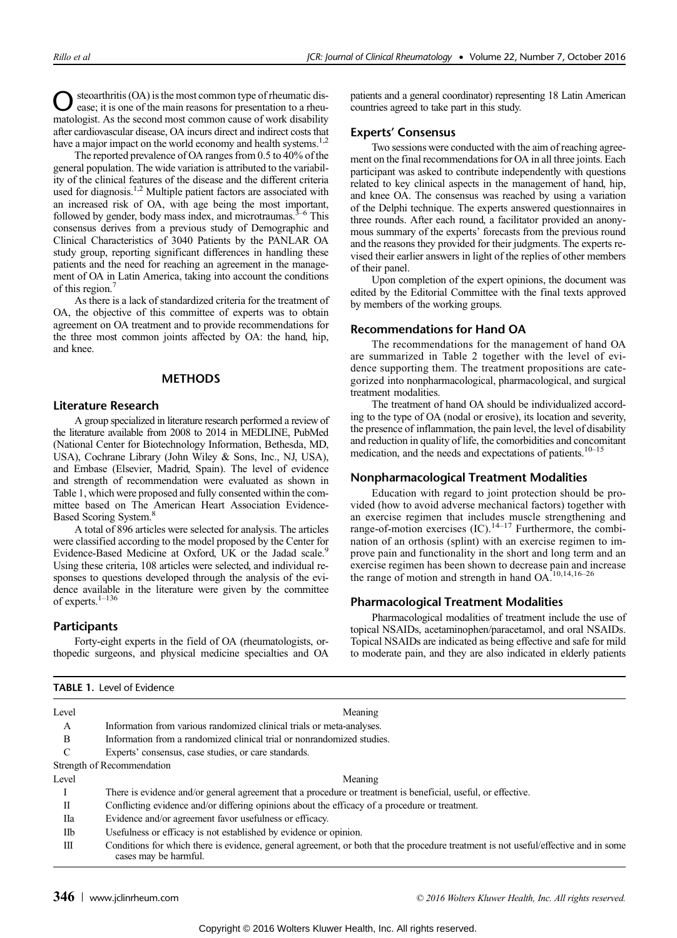$\sum$  steoarthritis (OA) is the most common type of rheumatic dis-<br>ease; it is one of the main reasons for presentation to a rheumatologist. As the second most common cause of work disability after cardiovascular disease, OA incurs direct and indirect costs that have a major impact on the world economy and health systems.<sup>1,2</sup>

The reported prevalence of OA ranges from 0.5 to 40% of the general population. The wide variation is attributed to the variability of the clinical features of the disease and the different criteria used for diagnosis.<sup>1,2</sup> Multiple patient factors are associated with an increased risk of OA, with age being the most important, followed by gender, body mass index, and microtraumas. $3-6$  This consensus derives from a previous study of Demographic and Clinical Characteristics of 3040 Patients by the PANLAR OA study group, reporting significant differences in handling these patients and the need for reaching an agreement in the management of OA in Latin America, taking into account the conditions of this region.'

As there is a lack of standardized criteria for the treatment of OA, the objective of this committee of experts was to obtain agreement on OA treatment and to provide recommendations for the three most common joints affected by OA: the hand, hip, and knee.

# METHODS

#### Literature Research

A group specialized in literature research performed a review of the literature available from 2008 to 2014 in MEDLINE, PubMed (National Center for Biotechnology Information, Bethesda, MD, USA), Cochrane Library (John Wiley & Sons, Inc., NJ, USA), and Embase (Elsevier, Madrid, Spain). The level of evidence and strength of recommendation were evaluated as shown in Table 1, which were proposed and fully consented within the committee based on The American Heart Association Evidence-Based Scoring System.8

A total of 896 articles were selected for analysis. The articles were classified according to the model proposed by the Center for Evidence-Based Medicine at Oxford, UK or the Jadad scale.<sup>9</sup> Using these criteria, 108 articles were selected, and individual responses to questions developed through the analysis of the evidence available in the literature were given by the committee of experts.<sup>1-136</sup>

### **Participants**

**TABLE 1.** Lovel of Evidence

Forty-eight experts in the field of OA (rheumatologists, orthopedic surgeons, and physical medicine specialties and OA patients and a general coordinator) representing 18 Latin American countries agreed to take part in this study.

#### Experts' Consensus

Two sessions were conducted with the aim of reaching agreement on the final recommendations for OA in all three joints. Each participant was asked to contribute independently with questions related to key clinical aspects in the management of hand, hip, and knee OA. The consensus was reached by using a variation of the Delphi technique. The experts answered questionnaires in three rounds. After each round, a facilitator provided an anonymous summary of the experts' forecasts from the previous round and the reasons they provided for their judgments. The experts revised their earlier answers in light of the replies of other members of their panel.

Upon completion of the expert opinions, the document was edited by the Editorial Committee with the final texts approved by members of the working groups.

#### Recommendations for Hand OA

The recommendations for the management of hand OA are summarized in Table 2 together with the level of evidence supporting them. The treatment propositions are categorized into nonpharmacological, pharmacological, and surgical treatment modalities.

The treatment of hand OA should be individualized according to the type of OA (nodal or erosive), its location and severity, the presence of inflammation, the pain level, the level of disability and reduction in quality of life, the comorbidities and concomitant medication, and the needs and expectations of patients.<sup>10–15</sup>

#### Nonpharmacological Treatment Modalities

Education with regard to joint protection should be provided (how to avoid adverse mechanical factors) together with an exercise regimen that includes muscle strengthening and range-of-motion exercises  $(IC).<sup>14–17</sup>$  Furthermore, the combination of an orthosis (splint) with an exercise regimen to improve pain and functionality in the short and long term and an exercise regimen has been shown to decrease pain and increase the range of motion and strength in hand OA.<sup>10,14,16–26</sup>

#### Pharmacological Treatment Modalities

Pharmacological modalities of treatment include the use of topical NSAIDs, acetaminophen/paracetamol, and oral NSAIDs. Topical NSAIDs are indicated as being effective and safe for mild to moderate pain, and they are also indicated in elderly patients

| <b>IADLL I.</b> LEVEL OF LYIUCHCE |                                                                                                                                                              |  |
|-----------------------------------|--------------------------------------------------------------------------------------------------------------------------------------------------------------|--|
| Level                             | Meaning                                                                                                                                                      |  |
| A                                 | Information from various randomized clinical trials or meta-analyses.                                                                                        |  |
| B                                 | Information from a randomized clinical trial or nonrandomized studies.                                                                                       |  |
| C                                 | Experts' consensus, case studies, or care standards.                                                                                                         |  |
|                                   | Strength of Recommendation                                                                                                                                   |  |
| Level                             | Meaning                                                                                                                                                      |  |
|                                   | There is evidence and/or general agreement that a procedure or treatment is beneficial, useful, or effective.                                                |  |
| Π                                 | Conflicting evidence and/or differing opinions about the efficacy of a procedure or treatment.                                                               |  |
| Пa                                | Evidence and/or agreement favor usefulness or efficacy.                                                                                                      |  |
| IIb                               | Usefulness or efficacy is not established by evidence or opinion.                                                                                            |  |
| Ш                                 | Conditions for which there is evidence, general agreement, or both that the procedure treatment is not useful/effective and in some<br>cases may be harmful. |  |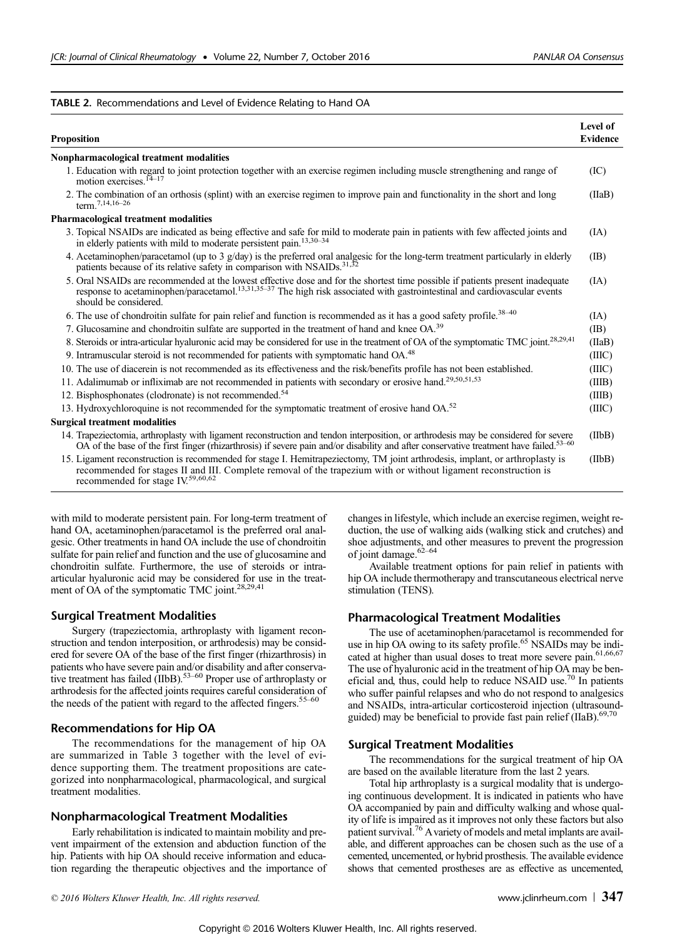#### TABLE 2. Recommendations and Level of Evidence Relating to Hand OA

| <b>Proposition</b>                                                                                                                                                                                                                                                                               | Level of<br><b>Evidence</b> |
|--------------------------------------------------------------------------------------------------------------------------------------------------------------------------------------------------------------------------------------------------------------------------------------------------|-----------------------------|
| Nonpharmacological treatment modalities                                                                                                                                                                                                                                                          |                             |
| 1. Education with regard to joint protection together with an exercise regimen including muscle strengthening and range of<br>motion exercises. $[4-17]$                                                                                                                                         | (IC)                        |
| 2. The combination of an orthosis (splint) with an exercise regimen to improve pain and functionality in the short and long<br>term. <sup>7,14,16-26</sup>                                                                                                                                       | (IIaB)                      |
| <b>Pharmacological treatment modalities</b>                                                                                                                                                                                                                                                      |                             |
| 3. Topical NSAIDs are indicated as being effective and safe for mild to moderate pain in patients with few affected joints and<br>in elderly patients with mild to moderate persistent pain. <sup>13,30-34</sup>                                                                                 | (IA)                        |
| 4. Acetaminophen/paracetamol (up to 3 $g/day$ ) is the preferred oral analgesic for the long-term treatment particularly in elderly<br>patients because of its relative safety in comparison with NSAIDs. <sup>31,32</sup>                                                                       | (IB)                        |
| 5. Oral NSAIDs are recommended at the lowest effective dose and for the shortest time possible if patients present inadequate<br>response to acetaminophen/paracetamol. <sup>13,31,35-37</sup> The high risk associated with gastrointestinal and cardiovascular events<br>should be considered. | (IA)                        |
| 6. The use of chondroitin sulfate for pain relief and function is recommended as it has a good safety profile. <sup>38-40</sup>                                                                                                                                                                  | (IA)                        |
| 7. Glucosamine and chondroitin sulfate are supported in the treatment of hand and knee OA. <sup>39</sup>                                                                                                                                                                                         | (IB)                        |
| 8. Steroids or intra-articular hyaluronic acid may be considered for use in the treatment of OA of the symptomatic TMC joint. <sup>28,29,41</sup>                                                                                                                                                | (IIaB)                      |
| 9. Intramuscular steroid is not recommended for patients with symptomatic hand OA. <sup>48</sup>                                                                                                                                                                                                 | (IIIC)                      |
| 10. The use of diacerein is not recommended as its effectiveness and the risk/benefits profile has not been established.                                                                                                                                                                         | (IIIC)                      |
| 11. Adalimumab or infliximab are not recommended in patients with secondary or erosive hand. <sup>29,50,51,53</sup>                                                                                                                                                                              | (IIIB)                      |
| 12. Bisphosphonates (clodronate) is not recommended. <sup>54</sup>                                                                                                                                                                                                                               | (IIIB)                      |
| 13. Hydroxychloroquine is not recommended for the symptomatic treatment of erosive hand $OA$ <sup>52</sup>                                                                                                                                                                                       | (IIIC)                      |
| <b>Surgical treatment modalities</b>                                                                                                                                                                                                                                                             |                             |
| 14. Trapeziectomia, arthroplasty with ligament reconstruction and tendon interposition, or arthrodesis may be considered for severe<br>OA of the base of the first finger (rhizarthrosis) if severe pain and/or disability and after conservative treatment have failed. <sup>53–60</sup>        | (IIbB)                      |
| 15. Ligament reconstruction is recommended for stage I. Hemitrapeziectomy, TM joint arthrodesis, implant, or arthroplasty is<br>recommended for stages II and III. Complete removal of the trapezium with or without ligament reconstruction is<br>recommended for stage IV.59,60,62             | (IIbB)                      |

with mild to moderate persistent pain. For long-term treatment of hand OA, acetaminophen/paracetamol is the preferred oral analgesic. Other treatments in hand OA include the use of chondroitin sulfate for pain relief and function and the use of glucosamine and chondroitin sulfate. Furthermore, the use of steroids or intraarticular hyaluronic acid may be considered for use in the treatment of OA of the symptomatic TMC joint.28,29,41

# Surgical Treatment Modalities

Surgery (trapeziectomia, arthroplasty with ligament reconstruction and tendon interposition, or arthrodesis) may be considered for severe OA of the base of the first finger (rhizarthrosis) in patients who have severe pain and/or disability and after conservative treatment has failed (IIbB).<sup>53–60</sup> Proper use of arthroplasty or arthrodesis for the affected joints requires careful consideration of the needs of the patient with regard to the affected fingers.<sup>55-60</sup>

# Recommendations for Hip OA

The recommendations for the management of hip OA are summarized in Table 3 together with the level of evidence supporting them. The treatment propositions are categorized into nonpharmacological, pharmacological, and surgical treatment modalities.

# Nonpharmacological Treatment Modalities

Early rehabilitation is indicated to maintain mobility and prevent impairment of the extension and abduction function of the hip. Patients with hip OA should receive information and education regarding the therapeutic objectives and the importance of changes in lifestyle, which include an exercise regimen, weight reduction, the use of walking aids (walking stick and crutches) and shoe adjustments, and other measures to prevent the progression of joint damage.62–<sup>64</sup>

Available treatment options for pain relief in patients with hip OA include thermotherapy and transcutaneous electrical nerve stimulation (TENS).

# Pharmacological Treatment Modalities

The use of acetaminophen/paracetamol is recommended for use in hip OA owing to its safety profile.<sup>65</sup> NSAIDs may be indicated at higher than usual doses to treat more severe pain.<sup>61,66,67</sup> The use of hyaluronic acid in the treatment of hip OA may be beneficial and, thus, could help to reduce NSAID use.<sup>70</sup> In patients who suffer painful relapses and who do not respond to analgesics and NSAIDs, intra-articular corticosteroid injection (ultrasoundguided) may be beneficial to provide fast pain relief (IIaB).<sup>69,70</sup>

#### Surgical Treatment Modalities

The recommendations for the surgical treatment of hip OA are based on the available literature from the last 2 years.

Total hip arthroplasty is a surgical modality that is undergoing continuous development. It is indicated in patients who have OA accompanied by pain and difficulty walking and whose quality of life is impaired as it improves not only these factors but also patient survival.76 Avariety of models and metal implants are available, and different approaches can be chosen such as the use of a cemented, uncemented, or hybrid prosthesis. The available evidence shows that cemented prostheses are as effective as uncemented,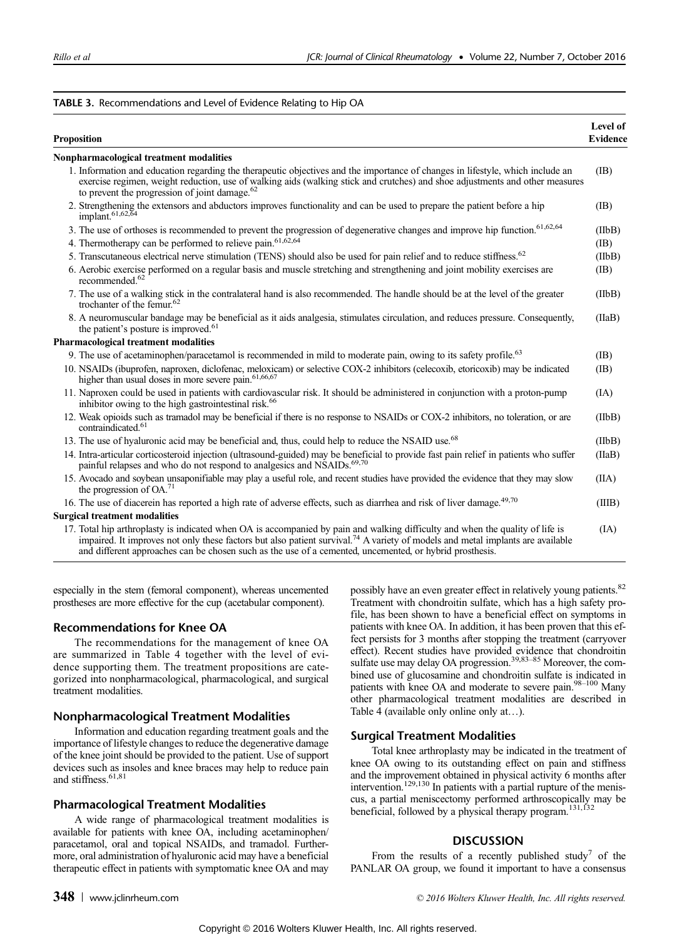#### TABLE 3. Recommendations and Level of Evidence Relating to Hip OA

| <b>Proposition</b>                                                                                                                                                                                                                                                                                                                                                                      | Level of<br>Evidence |
|-----------------------------------------------------------------------------------------------------------------------------------------------------------------------------------------------------------------------------------------------------------------------------------------------------------------------------------------------------------------------------------------|----------------------|
| Nonpharmacological treatment modalities                                                                                                                                                                                                                                                                                                                                                 |                      |
| 1. Information and education regarding the therapeutic objectives and the importance of changes in lifestyle, which include an<br>exercise regimen, weight reduction, use of walking aids (walking stick and crutches) and shoe adjustments and other measures<br>to prevent the progression of joint damage. <sup>62</sup>                                                             | (IB)                 |
| 2. Strengthening the extensors and abductors improves functionality and can be used to prepare the patient before a hip<br>implant. $61,62,64$                                                                                                                                                                                                                                          | (IB)                 |
| 3. The use of orthoses is recommended to prevent the progression of degenerative changes and improve hip function. <sup>61,62,64</sup>                                                                                                                                                                                                                                                  | (IIbB)               |
| 4. Thermotherapy can be performed to relieve pain. <sup>61,62,64</sup>                                                                                                                                                                                                                                                                                                                  | (IB)                 |
| 5. Transcutaneous electrical nerve stimulation (TENS) should also be used for pain relief and to reduce stiffness. <sup>62</sup>                                                                                                                                                                                                                                                        | (IIbB)               |
| 6. Aerobic exercise performed on a regular basis and muscle stretching and strengthening and joint mobility exercises are<br>recommended. <sup>62</sup>                                                                                                                                                                                                                                 | (IB)                 |
| 7. The use of a walking stick in the contralateral hand is also recommended. The handle should be at the level of the greater<br>trochanter of the femur. <sup>62</sup>                                                                                                                                                                                                                 | (IIbB)               |
| 8. A neuromuscular bandage may be beneficial as it aids analgesia, stimulates circulation, and reduces pressure. Consequently,<br>the patient's posture is improved. <sup>61</sup>                                                                                                                                                                                                      | (IIaB)               |
| Pharmacological treatment modalities                                                                                                                                                                                                                                                                                                                                                    |                      |
| 9. The use of acetaminophen/paracetamol is recommended in mild to moderate pain, owing to its safety profile. <sup>63</sup>                                                                                                                                                                                                                                                             | (IB)                 |
| 10. NSAIDs (ibuprofen, naproxen, diclofenac, meloxicam) or selective COX-2 inhibitors (celecoxib, etoricoxib) may be indicated<br>higher than usual doses in more severe pain. <sup>61,66,67</sup>                                                                                                                                                                                      | (IB)                 |
| 11. Naproxen could be used in patients with cardiovascular risk. It should be administered in conjunction with a proton-pump<br>inhibitor owing to the high gastrointestinal risk. <sup>66</sup>                                                                                                                                                                                        | (IA)                 |
| 12. Weak opioids such as tramadol may be beneficial if there is no response to NSAIDs or COX-2 inhibitors, no toleration, or are<br>contraindicated. <sup>61</sup>                                                                                                                                                                                                                      | (IIbB)               |
| 13. The use of hyaluronic acid may be beneficial and, thus, could help to reduce the NSAID use. <sup>68</sup>                                                                                                                                                                                                                                                                           | (IIbB)               |
| 14. Intra-articular corticosteroid injection (ultrasound-guided) may be beneficial to provide fast pain relief in patients who suffer<br>painful relapses and who do not respond to analgesics and NSAIDs. <sup>69,70</sup>                                                                                                                                                             | (IIaB)               |
| 15. Avocado and soybean unsaponifiable may play a useful role, and recent studies have provided the evidence that they may slow<br>the progression of $OA.71$                                                                                                                                                                                                                           | (IIA)                |
| 16. The use of diacerein has reported a high rate of adverse effects, such as diarrhea and risk of liver damage. <sup>49,70</sup>                                                                                                                                                                                                                                                       | (IIIB)               |
| <b>Surgical treatment modalities</b>                                                                                                                                                                                                                                                                                                                                                    |                      |
| 17. Total hip arthroplasty is indicated when OA is accompanied by pain and walking difficulty and when the quality of life is<br>impaired. It improves not only these factors but also patient survival. <sup>74</sup> A variety of models and metal implants are available<br>and different approaches can be chosen such as the use of a cemented, uncernented, or hybrid prosthesis. | (IA)                 |

especially in the stem (femoral component), whereas uncemented prostheses are more effective for the cup (acetabular component).

# Recommendations for Knee OA

The recommendations for the management of knee OA are summarized in Table 4 together with the level of evidence supporting them. The treatment propositions are categorized into nonpharmacological, pharmacological, and surgical treatment modalities.

#### Nonpharmacological Treatment Modalities

Information and education regarding treatment goals and the importance of lifestyle changes to reduce the degenerative damage of the knee joint should be provided to the patient. Use of support devices such as insoles and knee braces may help to reduce pain and stiffness.<sup>61,81</sup>

# Pharmacological Treatment Modalities

A wide range of pharmacological treatment modalities is available for patients with knee OA, including acetaminophen/ paracetamol, oral and topical NSAIDs, and tramadol. Furthermore, oral administration of hyaluronic acid may have a beneficial therapeutic effect in patients with symptomatic knee OA and may possibly have an even greater effect in relatively young patients.<sup>82</sup> Treatment with chondroitin sulfate, which has a high safety profile, has been shown to have a beneficial effect on symptoms in patients with knee OA. In addition, it has been proven that this effect persists for 3 months after stopping the treatment (carryover effect). Recent studies have provided evidence that chondroitin sulfate use may delay OA progression.<sup>39,83–85</sup> Moreover, the combined use of glucosamine and chondroitin sulfate is indicated in patients with knee OA and moderate to severe pain.<sup>98-100</sup> Many other pharmacological treatment modalities are described in Table 4 (available only online only at...).

# Surgical Treatment Modalities

Total knee arthroplasty may be indicated in the treatment of knee OA owing to its outstanding effect on pain and stiffness and the improvement obtained in physical activity 6 months after intervention.<sup>129,130</sup> In patients with a partial rupture of the meniscus, a partial meniscectomy performed arthroscopically may be beneficial, followed by a physical therapy program.131,132

#### **DISCUSSION**

From the results of a recently published study<sup>7</sup> of the PANLAR OA group, we found it important to have a consensus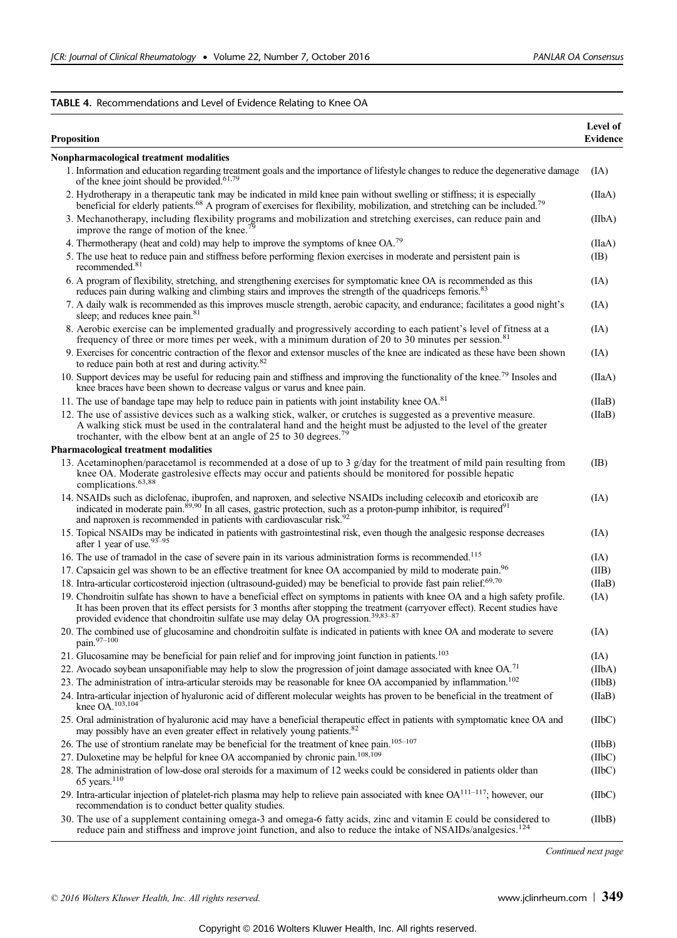# TABLE 4. Recommendations and Level of Evidence Relating to Knee OA

|                                         | <b>Proposition</b>                                                                                                                                                                                                                                                                                                                                          | Level of<br><b>Evidence</b> |
|-----------------------------------------|-------------------------------------------------------------------------------------------------------------------------------------------------------------------------------------------------------------------------------------------------------------------------------------------------------------------------------------------------------------|-----------------------------|
| Nonpharmacological treatment modalities |                                                                                                                                                                                                                                                                                                                                                             |                             |
|                                         | 1. Information and education regarding treatment goals and the importance of lifestyle changes to reduce the degenerative damage<br>of the knee joint should be provided. <sup>61,79</sup>                                                                                                                                                                  | (IA)                        |
|                                         | 2. Hydrotherapy in a therapeutic tank may be indicated in mild knee pain without swelling or stiffness; it is especially<br>beneficial for elderly patients. <sup>68</sup> A program of exercises for flexibility, mobilization, and stretching can be included. <sup>79</sup>                                                                              | (IIaA)                      |
|                                         | 3. Mechanotherapy, including flexibility programs and mobilization and stretching exercises, can reduce pain and<br>improve the range of motion of the knee. <sup>79</sup>                                                                                                                                                                                  | (IIbA)                      |
|                                         | 4. Thermotherapy (heat and cold) may help to improve the symptoms of knee OA. <sup>79</sup>                                                                                                                                                                                                                                                                 | (IIaA)                      |
|                                         | 5. The use heat to reduce pain and stiffness before performing flexion exercises in moderate and persistent pain is<br>recommended. <sup>81</sup>                                                                                                                                                                                                           | (IB)                        |
|                                         | 6. A program of flexibility, stretching, and strengthening exercises for symptomatic knee OA is recommended as this<br>reduces pain during walking and climbing stairs and improves the strength of the quadriceps femoris. <sup>83</sup>                                                                                                                   | (IA)                        |
|                                         | 7. A daily walk is recommended as this improves muscle strength, aerobic capacity, and endurance; facilitates a good night's<br>sleep; and reduces knee pain. <sup>81</sup>                                                                                                                                                                                 | (IA)                        |
|                                         | 8. Aerobic exercise can be implemented gradually and progressively according to each patient's level of fitness at a<br>frequency of three or more times per week, with a minimum duration of 20 to 30 minutes per session. <sup>81</sup>                                                                                                                   | (IA)                        |
|                                         | 9. Exercises for concentric contraction of the flexor and extensor muscles of the knee are indicated as these have been shown<br>to reduce pain both at rest and during activity. <sup>82</sup>                                                                                                                                                             | (IA)                        |
|                                         | 10. Support devices may be useful for reducing pain and stiffness and improving the functionality of the knee. <sup>79</sup> Insoles and<br>knee braces have been shown to decrease valgus or varus and knee pain.                                                                                                                                          | (IIaA)                      |
|                                         | 11. The use of bandage tape may help to reduce pain in patients with joint instability knee OA. <sup>81</sup>                                                                                                                                                                                                                                               | (IIaB)                      |
|                                         | 12. The use of assistive devices such as a walking stick, walker, or crutches is suggested as a preventive measure.<br>A walking stick must be used in the contralateral hand and the height must be adjusted to the level of the greater<br>trochanter, with the elbow bent at an angle of 25 to 30 degrees. <sup>79</sup>                                 | (IIaB)                      |
|                                         | <b>Pharmacological treatment modalities</b>                                                                                                                                                                                                                                                                                                                 |                             |
|                                         | 13. Acetaminophen/paracetamol is recommended at a dose of up to 3 g/day for the treatment of mild pain resulting from<br>knee OA. Moderate gastrolesive effects may occur and patients should be monitored for possible hepatic<br>complications. <sup>63,88</sup>                                                                                          | (IB)                        |
|                                         | 14. NSAIDs such as diclofenac, ibuprofen, and naproxen, and selective NSAIDs including celecoxib and etoricoxib are<br>indicated in moderate pain. <sup>89,90</sup> In all cases, gastric protection, such as a proton-pump inhibitor, is required <sup>91</sup><br>and naproxen is recommended in patients with cardiovascular risk. <sup>92</sup>         | (IA)                        |
|                                         | 15. Topical NSAIDs may be indicated in patients with gastrointestinal risk, even though the analgesic response decreases<br>after 1 year of use. $93-95$                                                                                                                                                                                                    | (IA)                        |
|                                         | 16. The use of tramadol in the case of severe pain in its various administration forms is recommended. <sup>115</sup>                                                                                                                                                                                                                                       | (IA)                        |
|                                         | 17. Capsaicin gel was shown to be an effective treatment for knee OA accompanied by mild to moderate pain. <sup>96</sup>                                                                                                                                                                                                                                    | (IB)                        |
|                                         | 18. Intra-articular corticosteroid injection (ultrasound-guided) may be beneficial to provide fast pain relief. <sup>69,70</sup>                                                                                                                                                                                                                            | (IIaB)                      |
|                                         | 19. Chondroitin sulfate has shown to have a beneficial effect on symptoms in patients with knee OA and a high safety profile.<br>It has been proven that its effect persists for 3 months after stopping the treatment (carryover effect). Recent studies have provided evidence that chondroitin sulfate use may delay OA progression. <sup>39,83-87</sup> | (IA)                        |
|                                         | 20. The combined use of glucosamine and chondroitin sulfate is indicated in patients with knee OA and moderate to severe<br>pain. <sup>97-100</sup>                                                                                                                                                                                                         | (IA)                        |
|                                         | 21. Glucosamine may be beneficial for pain relief and for improving joint function in patients. <sup>103</sup>                                                                                                                                                                                                                                              | (IA)                        |
|                                         | 22. Avocado soybean unsaponifiable may help to slow the progression of joint damage associated with knee OA. <sup>71</sup>                                                                                                                                                                                                                                  | (IIbA)                      |
|                                         | 23. The administration of intra-articular steroids may be reasonable for knee OA accompanied by inflammation. <sup>102</sup>                                                                                                                                                                                                                                | (IIbB)                      |
|                                         | 24. Intra-articular injection of hyaluronic acid of different molecular weights has proven to be beneficial in the treatment of<br>knee OA. <sup>103,104</sup>                                                                                                                                                                                              | (IIaB)                      |
|                                         | 25. Oral administration of hyaluronic acid may have a beneficial therapeutic effect in patients with symptomatic knee OA and<br>may possibly have an even greater effect in relatively young patients. <sup>82</sup>                                                                                                                                        | (IIbC)                      |
|                                         | 26. The use of strontium ranelate may be beneficial for the treatment of knee pain. <sup>105-107</sup>                                                                                                                                                                                                                                                      | (IIbB)                      |
|                                         | 27. Duloxetine may be helpful for knee OA accompanied by chronic pain. <sup>108,109</sup>                                                                                                                                                                                                                                                                   | (IIbC)                      |
|                                         | 28. The administration of low-dose oral steroids for a maximum of 12 weeks could be considered in patients older than<br>$65$ years. <sup>110</sup>                                                                                                                                                                                                         | (IIbC)                      |
|                                         | 29. Intra-articular injection of platelet-rich plasma may help to relieve pain associated with knee OA <sup>111-117</sup> ; however, our<br>recommendation is to conduct better quality studies.                                                                                                                                                            | (IIbC)                      |
|                                         | 30. The use of a supplement containing omega-3 and omega-6 fatty acids, zinc and vitamin E could be considered to<br>reduce pain and stiffness and improve joint function, and also to reduce the intake of NSAIDs/analgesics. <sup>124</sup>                                                                                                               | (IIbB)                      |

Continued next page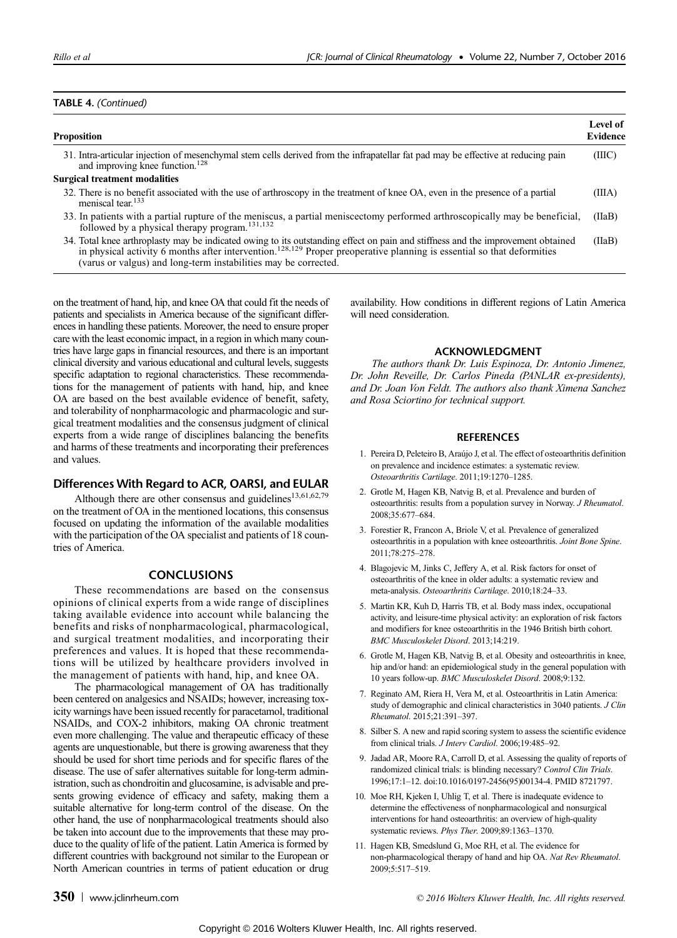#### TABLE 4. (Continued)

| <b>Proposition</b>                                                                                                                                                                                                                                                                                                                       |        |
|------------------------------------------------------------------------------------------------------------------------------------------------------------------------------------------------------------------------------------------------------------------------------------------------------------------------------------------|--------|
| 31. Intra-articular injection of mesenchymal stem cells derived from the infrapatellar fat pad may be effective at reducing pain<br>and improving knee function. <sup>128</sup>                                                                                                                                                          | (IIIC) |
| <b>Surgical treatment modalities</b>                                                                                                                                                                                                                                                                                                     |        |
| 32. There is no benefit associated with the use of arthroscopy in the treatment of knee OA, even in the presence of a partial<br>meniscal tear. <sup>133</sup>                                                                                                                                                                           | (IIIA) |
| 33. In patients with a partial rupture of the meniscus, a partial meniscectomy performed arthroscopically may be beneficial,<br>followed by a physical therapy program. $131,132$                                                                                                                                                        | (IIaB) |
| 34. Total knee arthroplasty may be indicated owing to its outstanding effect on pain and stiffness and the improvement obtained<br>in physical activity 6 months after intervention. <sup>128,129</sup> Proper preoperative planning is essential so that deformities<br>(varus or valgus) and long-term instabilities may be corrected. | (IIaB) |

on the treatment of hand, hip, and knee OA that could fit the needs of patients and specialists in America because of the significant differences in handling these patients. Moreover, the need to ensure proper care with the least economic impact, in a region in which many countries have large gaps in financial resources, and there is an important clinical diversity and various educational and cultural levels, suggests specific adaptation to regional characteristics. These recommendations for the management of patients with hand, hip, and knee OA are based on the best available evidence of benefit, safety, and tolerability of nonpharmacologic and pharmacologic and surgical treatment modalities and the consensus judgment of clinical experts from a wide range of disciplines balancing the benefits and harms of these treatments and incorporating their preferences and values.

#### Differences With Regard to ACR, OARSI, and EULAR

Although there are other consensus and guidelines<sup>13,61,62,79</sup> on the treatment of OA in the mentioned locations, this consensus focused on updating the information of the available modalities with the participation of the OA specialist and patients of 18 countries of America.

## **CONCLUSIONS**

These recommendations are based on the consensus opinions of clinical experts from a wide range of disciplines taking available evidence into account while balancing the benefits and risks of nonpharmacological, pharmacological, and surgical treatment modalities, and incorporating their preferences and values. It is hoped that these recommendations will be utilized by healthcare providers involved in the management of patients with hand, hip, and knee OA.

The pharmacological management of OA has traditionally been centered on analgesics and NSAIDs; however, increasing toxicity warnings have been issued recently for paracetamol, traditional NSAIDs, and COX-2 inhibitors, making OA chronic treatment even more challenging. The value and therapeutic efficacy of these agents are unquestionable, but there is growing awareness that they should be used for short time periods and for specific flares of the disease. The use of safer alternatives suitable for long-term administration, such as chondroitin and glucosamine, is advisable and presents growing evidence of efficacy and safety, making them a suitable alternative for long-term control of the disease. On the other hand, the use of nonpharmacological treatments should also be taken into account due to the improvements that these may produce to the quality of life of the patient. Latin America is formed by different countries with background not similar to the European or North American countries in terms of patient education or drug

availability. How conditions in different regions of Latin America will need consideration.

## ACKNOWLEDGMENT

The authors thank Dr. Luis Espinoza, Dr. Antonio Jimenez, Dr. John Reveille, Dr. Carlos Pineda (PANLAR ex-presidents), and Dr. Joan Von Feldt. The authors also thank Ximena Sanchez and Rosa Sciortino for technical support.

#### **REFERENCES**

- 1. Pereira D, Peleteiro B, Araújo J, et al. The effect of osteoarthritis definition on prevalence and incidence estimates: a systematic review. Osteoarthritis Cartilage. 2011;19:1270–1285.
- 2. Grotle M, Hagen KB, Natvig B, et al. Prevalence and burden of osteoarthritis: results from a population survey in Norway. J Rheumatol. 2008;35:677–684.
- 3. Forestier R, Francon A, Briole V, et al. Prevalence of generalized osteoarthritis in a population with knee osteoarthritis. Joint Bone Spine. 2011;78:275–278.
- 4. Blagojevic M, Jinks C, Jeffery A, et al. Risk factors for onset of osteoarthritis of the knee in older adults: a systematic review and meta-analysis. Osteoarthritis Cartilage. 2010;18:24–33.
- 5. Martin KR, Kuh D, Harris TB, et al. Body mass index, occupational activity, and leisure-time physical activity: an exploration of risk factors and modifiers for knee osteoarthritis in the 1946 British birth cohort. BMC Musculoskelet Disord. 2013;14:219.
- 6. Grotle M, Hagen KB, Natvig B, et al. Obesity and osteoarthritis in knee, hip and/or hand: an epidemiological study in the general population with 10 years follow-up. BMC Musculoskelet Disord. 2008;9:132.
- 7. Reginato AM, Riera H, Vera M, et al. Osteoarthritis in Latin America: study of demographic and clinical characteristics in 3040 patients. J Clin Rheumatol. 2015;21:391–397.
- 8. Silber S. A new and rapid scoring system to assess the scientific evidence from clinical trials. J Interv Cardiol. 2006;19:485-92.
- 9. Jadad AR, Moore RA, Carroll D, et al. Assessing the quality of reports of randomized clinical trials: is blinding necessary? Control Clin Trials. 1996;17:1–12. doi:10.1016/0197-2456(95)00134-4. PMID 8721797.
- 10. Moe RH, Kjeken I, Uhlig T, et al. There is inadequate evidence to determine the effectiveness of nonpharmacological and nonsurgical interventions for hand osteoarthritis: an overview of high-quality systematic reviews. Phys Ther. 2009;89:1363–1370.
- 11. Hagen KB, Smedslund G, Moe RH, et al. The evidence for non-pharmacological therapy of hand and hip OA. Nat Rev Rheumatol. 2009;5:517–519.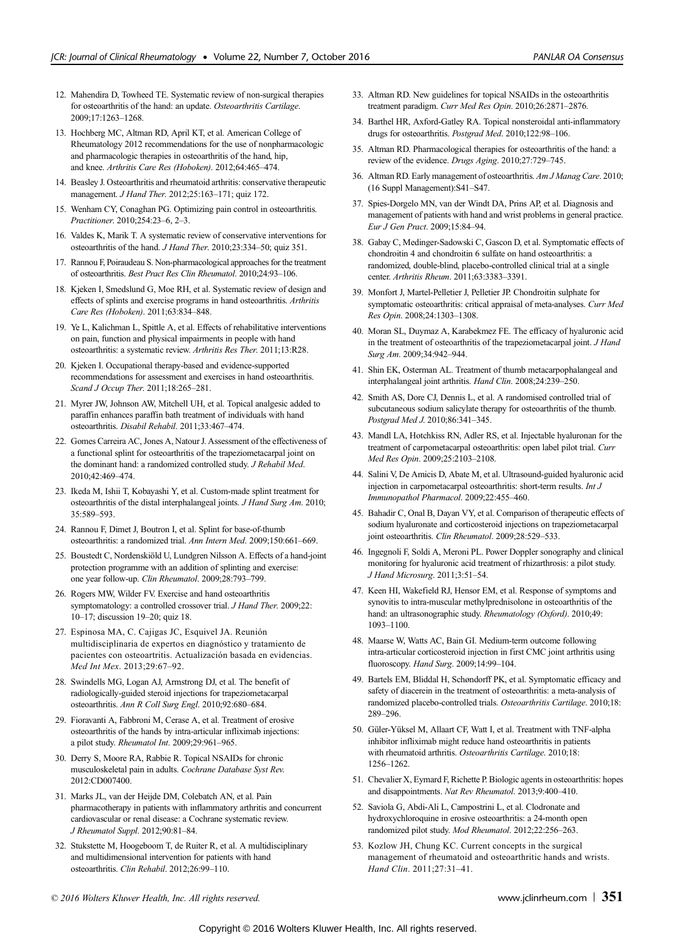- 12. Mahendira D, Towheed TE. Systematic review of non-surgical therapies for osteoarthritis of the hand: an update. Osteoarthritis Cartilage. 2009;17:1263–1268.
- 13. Hochberg MC, Altman RD, April KT, et al. American College of Rheumatology 2012 recommendations for the use of nonpharmacologic and pharmacologic therapies in osteoarthritis of the hand, hip, and knee. Arthritis Care Res (Hoboken). 2012;64:465–474.
- 14. Beasley J. Osteoarthritis and rheumatoid arthritis: conservative therapeutic management. J Hand Ther. 2012;25:163–171; quiz 172.
- 15. Wenham CY, Conaghan PG. Optimizing pain control in osteoarthritis. Practitioner. 2010;254:23–6, 2–3.
- 16. Valdes K, Marik T. A systematic review of conservative interventions for osteoarthritis of the hand. J Hand Ther. 2010;23:334–50; quiz 351.
- 17. Rannou F, Poiraudeau S. Non-pharmacological approaches for the treatment of osteoarthritis. Best Pract Res Clin Rheumatol. 2010;24:93–106.
- 18. Kjeken I, Smedslund G, Moe RH, et al. Systematic review of design and effects of splints and exercise programs in hand osteoarthritis. Arthritis Care Res (Hoboken). 2011;63:834–848.
- 19. Ye L, Kalichman L, Spittle A, et al. Effects of rehabilitative interventions on pain, function and physical impairments in people with hand osteoarthritis: a systematic review. Arthritis Res Ther. 2011;13:R28.
- 20. Kjeken I. Occupational therapy-based and evidence-supported recommendations for assessment and exercises in hand osteoarthritis. Scand J Occup Ther. 2011;18:265-281.
- 21. Myrer JW, Johnson AW, Mitchell UH, et al. Topical analgesic added to paraffin enhances paraffin bath treatment of individuals with hand osteoarthritis. Disabil Rehabil. 2011;33:467–474.
- 22. Gomes Carreira AC, Jones A, Natour J. Assessment of the effectiveness of a functional splint for osteoarthritis of the trapeziometacarpal joint on the dominant hand: a randomized controlled study. J Rehabil Med. 2010;42:469–474.
- 23. Ikeda M, Ishii T, Kobayashi Y, et al. Custom-made splint treatment for osteoarthritis of the distal interphalangeal joints. J Hand Surg Am. 2010; 35:589–593.
- 24. Rannou F, Dimet J, Boutron I, et al. Splint for base-of-thumb osteoarthritis: a randomized trial. Ann Intern Med. 2009;150:661–669.
- 25. Boustedt C, Nordenskiöld U, Lundgren Nilsson A. Effects of a hand-joint protection programme with an addition of splinting and exercise: one year follow-up. Clin Rheumatol. 2009;28:793–799.
- 26. Rogers MW, Wilder FV. Exercise and hand osteoarthritis symptomatology: a controlled crossover trial. J Hand Ther. 2009;22: 10–17; discussion 19–20; quiz 18.
- 27. Espinosa MA, C. Cajigas JC, Esquivel JA. Reunión multidisciplinaria de expertos en diagnóstico y tratamiento de pacientes con osteoartritis. Actualización basada en evidencias. Med Int Mex. 2013;29:67–92.
- 28. Swindells MG, Logan AJ, Armstrong DJ, et al. The benefit of radiologically-guided steroid injections for trapeziometacarpal osteoarthritis. Ann R Coll Surg Engl. 2010;92:680–684.
- 29. Fioravanti A, Fabbroni M, Cerase A, et al. Treatment of erosive osteoarthritis of the hands by intra-articular infliximab injections: a pilot study. Rheumatol Int. 2009;29:961–965.
- 30. Derry S, Moore RA, Rabbie R. Topical NSAIDs for chronic musculoskeletal pain in adults. Cochrane Database Syst Rev. 2012:CD007400.
- 31. Marks JL, van der Heijde DM, Colebatch AN, et al. Pain pharmacotherapy in patients with inflammatory arthritis and concurrent cardiovascular or renal disease: a Cochrane systematic review. J Rheumatol Suppl. 2012;90:81–84.
- 32. Stukstette M, Hoogeboom T, de Ruiter R, et al. A multidisciplinary and multidimensional intervention for patients with hand osteoarthritis. Clin Rehabil. 2012;26:99–110.
- 33. Altman RD. New guidelines for topical NSAIDs in the osteoarthritis treatment paradigm. Curr Med Res Opin. 2010;26:2871–2876.
- 34. Barthel HR, Axford-Gatley RA. Topical nonsteroidal anti-inflammatory drugs for osteoarthritis. Postgrad Med. 2010;122:98–106.
- 35. Altman RD. Pharmacological therapies for osteoarthritis of the hand: a review of the evidence. Drugs Aging. 2010;27:729–745.
- 36. Altman RD. Early management of osteoarthritis. Am J Manag Care. 2010; (16 Suppl Management):S41–S47.
- 37. Spies-Dorgelo MN, van der Windt DA, Prins AP, et al. Diagnosis and management of patients with hand and wrist problems in general practice. Eur J Gen Pract. 2009;15:84–94.
- 38. Gabay C, Medinger-Sadowski C, Gascon D, et al. Symptomatic effects of chondroitin 4 and chondroitin 6 sulfate on hand osteoarthritis: a randomized, double-blind, placebo-controlled clinical trial at a single center. Arthritis Rheum. 2011;63:3383–3391.
- 39. Monfort J, Martel-Pelletier J, Pelletier JP. Chondroitin sulphate for symptomatic osteoarthritis: critical appraisal of meta-analyses. Curr Med Res Opin. 2008;24:1303–1308.
- 40. Moran SL, Duymaz A, Karabekmez FE. The efficacy of hyaluronic acid in the treatment of osteoarthritis of the trapeziometacarpal joint. J Hand Surg Am. 2009;34:942–944.
- 41. Shin EK, Osterman AL. Treatment of thumb metacarpophalangeal and interphalangeal joint arthritis. Hand Clin. 2008;24:239–250.
- 42. Smith AS, Dore CJ, Dennis L, et al. A randomised controlled trial of subcutaneous sodium salicylate therapy for osteoarthritis of the thumb. Postgrad Med J. 2010;86:341–345.
- 43. Mandl LA, Hotchkiss RN, Adler RS, et al. Injectable hyaluronan for the treatment of carpometacarpal osteoarthritis: open label pilot trial. Curr Med Res Opin. 2009;25:2103–2108.
- 44. Salini V, De Amicis D, Abate M, et al. Ultrasound-guided hyaluronic acid injection in carpometacarpal osteoarthritis: short-term results. Int J Immunopathol Pharmacol. 2009;22:455–460.
- 45. Bahadir C, Onal B, Dayan VY, et al. Comparison of therapeutic effects of sodium hyaluronate and corticosteroid injections on trapeziometacarpal joint osteoarthritis. Clin Rheumatol. 2009;28:529-533.
- 46. Ingegnoli F, Soldi A, Meroni PL. Power Doppler sonography and clinical monitoring for hyaluronic acid treatment of rhizarthrosis: a pilot study. J Hand Microsurg. 2011;3:51–54.
- 47. Keen HI, Wakefield RJ, Hensor EM, et al. Response of symptoms and synovitis to intra-muscular methylprednisolone in osteoarthritis of the hand: an ultrasonographic study. Rheumatology (Oxford). 2010;49: 1093–1100.
- 48. Maarse W, Watts AC, Bain GI. Medium-term outcome following intra-articular corticosteroid injection in first CMC joint arthritis using fluoroscopy. Hand Surg. 2009;14:99–104.
- 49. Bartels EM, Bliddal H, Schøndorff PK, et al. Symptomatic efficacy and safety of diacerein in the treatment of osteoarthritis: a meta-analysis of randomized placebo-controlled trials. Osteoarthritis Cartilage. 2010;18: 289–296.
- 50. Güler-Yüksel M, Allaart CF, Watt I, et al. Treatment with TNF-alpha inhibitor infliximab might reduce hand osteoarthritis in patients with rheumatoid arthritis. Osteoarthritis Cartilage. 2010;18: 1256–1262.
- 51. Chevalier X, Eymard F, Richette P. Biologic agents in osteoarthritis: hopes and disappointments. Nat Rev Rheumatol. 2013;9:400–410.
- 52. Saviola G, Abdi-Ali L, Campostrini L, et al. Clodronate and hydroxychloroquine in erosive osteoarthritis: a 24-month open randomized pilot study. Mod Rheumatol. 2012;22:256–263.
- 53. Kozlow JH, Chung KC. Current concepts in the surgical management of rheumatoid and osteoarthritic hands and wrists. Hand Clin. 2011;27:31–41.

<sup>© 2016</sup> Wolters Kluwer Health, Inc. All rights reserved. <www.jclinrheum.com>  $\,$  351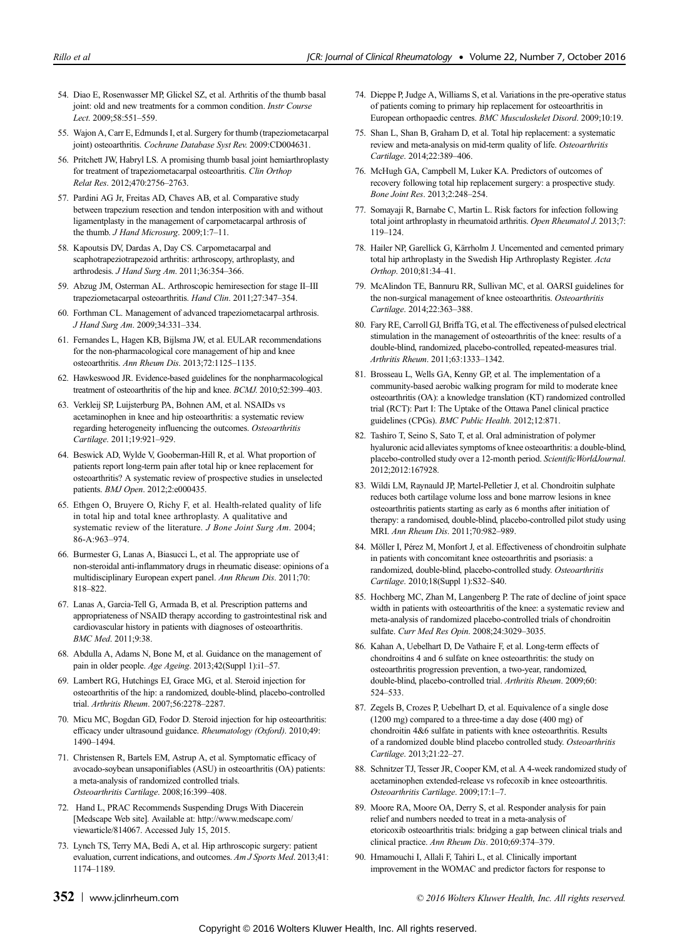- 54. Diao E, Rosenwasser MP, Glickel SZ, et al. Arthritis of the thumb basal joint: old and new treatments for a common condition. Instr Course Lect. 2009;58:551–559.
- 55. Wajon A, Carr E, Edmunds I, et al. Surgery for thumb (trapeziometacarpal joint) osteoarthritis. Cochrane Database Syst Rev. 2009:CD004631.
- 56. Pritchett JW, Habryl LS. A promising thumb basal joint hemiarthroplasty for treatment of trapeziometacarpal osteoarthritis. Clin Orthop Relat Res. 2012;470:2756–2763.
- 57. Pardini AG Jr, Freitas AD, Chaves AB, et al. Comparative study between trapezium resection and tendon interposition with and without ligamentplasty in the management of carpometacarpal arthrosis of the thumb. J Hand Microsurg. 2009;1:7-11.
- 58. Kapoutsis DV, Dardas A, Day CS. Carpometacarpal and scaphotrapeziotrapezoid arthritis: arthroscopy, arthroplasty, and arthrodesis. J Hand Surg Am. 2011;36:354–366.
- 59. Abzug JM, Osterman AL. Arthroscopic hemiresection for stage II–III trapeziometacarpal osteoarthritis. Hand Clin. 2011;27:347–354.
- 60. Forthman CL. Management of advanced trapeziometacarpal arthrosis. J Hand Surg Am. 2009;34:331–334.
- 61. Fernandes L, Hagen KB, Bijlsma JW, et al. EULAR recommendations for the non-pharmacological core management of hip and knee osteoarthritis. Ann Rheum Dis. 2013;72:1125–1135.
- 62. Hawkeswood JR. Evidence-based guidelines for the nonpharmacological treatment of osteoarthritis of the hip and knee. BCMJ. 2010;52:399–403.
- 63. Verkleij SP, Luijsterburg PA, Bohnen AM, et al. NSAIDs vs acetaminophen in knee and hip osteoarthritis: a systematic review regarding heterogeneity influencing the outcomes. Osteoarthritis Cartilage. 2011;19:921–929.
- 64. Beswick AD, Wylde V, Gooberman-Hill R, et al. What proportion of patients report long-term pain after total hip or knee replacement for osteoarthritis? A systematic review of prospective studies in unselected patients. BMJ Open. 2012;2:e000435.
- 65. Ethgen O, Bruyere O, Richy F, et al. Health-related quality of life in total hip and total knee arthroplasty. A qualitative and systematic review of the literature. J Bone Joint Surg Am. 2004; 86-A:963–974.
- 66. Burmester G, Lanas A, Biasucci L, et al. The appropriate use of non-steroidal anti-inflammatory drugs in rheumatic disease: opinions of a multidisciplinary European expert panel. Ann Rheum Dis. 2011;70: 818–822.
- 67. Lanas A, Garcia-Tell G, Armada B, et al. Prescription patterns and appropriateness of NSAID therapy according to gastrointestinal risk and cardiovascular history in patients with diagnoses of osteoarthritis. BMC Med. 2011;9:38.
- 68. Abdulla A, Adams N, Bone M, et al. Guidance on the management of pain in older people. Age Ageing. 2013;42(Suppl 1):i1–57.
- 69. Lambert RG, Hutchings EJ, Grace MG, et al. Steroid injection for osteoarthritis of the hip: a randomized, double-blind, placebo-controlled trial. Arthritis Rheum. 2007;56:2278–2287.
- 70. Micu MC, Bogdan GD, Fodor D. Steroid injection for hip osteoarthritis: efficacy under ultrasound guidance. Rheumatology (Oxford). 2010;49: 1490–1494.
- 71. Christensen R, Bartels EM, Astrup A, et al. Symptomatic efficacy of avocado-soybean unsaponifiables (ASU) in osteoarthritis (OA) patients: a meta-analysis of randomized controlled trials. Osteoarthritis Cartilage. 2008;16:399–408.
- 72. Hand L, PRAC Recommends Suspending Drugs With Diacerein [Medscape Web site]. Available at: [http://www.medscape.com/](http://www.medscape.com/viewarticle/814067) [viewarticle/814067.](http://www.medscape.com/viewarticle/814067) Accessed July 15, 2015.
- 73. Lynch TS, Terry MA, Bedi A, et al. Hip arthroscopic surgery: patient evaluation, current indications, and outcomes. Am J Sports Med. 2013;41: 1174–1189.
- 74. Dieppe P, Judge A, Williams S, et al. Variations in the pre-operative status of patients coming to primary hip replacement for osteoarthritis in European orthopaedic centres. BMC Musculoskelet Disord. 2009;10:19.
- 75. Shan L, Shan B, Graham D, et al. Total hip replacement: a systematic review and meta-analysis on mid-term quality of life. Osteoarthritis Cartilage. 2014;22:389–406.
- 76. McHugh GA, Campbell M, Luker KA. Predictors of outcomes of recovery following total hip replacement surgery: a prospective study. Bone Joint Res. 2013;2:248–254.
- 77. Somayaji R, Barnabe C, Martin L. Risk factors for infection following total joint arthroplasty in rheumatoid arthritis. Open Rheumatol J. 2013;7: 119–124.
- 78. Hailer NP, Garellick G, Kärrholm J. Uncemented and cemented primary total hip arthroplasty in the Swedish Hip Arthroplasty Register. Acta Orthop. 2010;81:34–41.
- 79. McAlindon TE, Bannuru RR, Sullivan MC, et al. OARSI guidelines for the non-surgical management of knee osteoarthritis. Osteoarthritis Cartilage. 2014;22:363–388.
- 80. Fary RE, Carroll GJ, Briffa TG, et al. The effectiveness of pulsed electrical stimulation in the management of osteoarthritis of the knee: results of a double-blind, randomized, placebo-controlled, repeated-measures trial. Arthritis Rheum. 2011;63:1333–1342.
- 81. Brosseau L, Wells GA, Kenny GP, et al. The implementation of a community-based aerobic walking program for mild to moderate knee osteoarthritis (OA): a knowledge translation (KT) randomized controlled trial (RCT): Part I: The Uptake of the Ottawa Panel clinical practice guidelines (CPGs). BMC Public Health. 2012;12:871.
- 82. Tashiro T, Seino S, Sato T, et al. Oral administration of polymer hyaluronic acid alleviates symptoms of knee osteoarthritis: a double-blind, placebo-controlled study over a 12-month period. ScientificWorldJournal. 2012;2012:167928.
- 83. Wildi LM, Raynauld JP, Martel-Pelletier J, et al. Chondroitin sulphate reduces both cartilage volume loss and bone marrow lesions in knee osteoarthritis patients starting as early as 6 months after initiation of therapy: a randomised, double-blind, placebo-controlled pilot study using MRI. Ann Rheum Dis. 2011;70:982–989.
- 84. Möller I, Pérez M, Monfort J, et al. Effectiveness of chondroitin sulphate in patients with concomitant knee osteoarthritis and psoriasis: a randomized, double-blind, placebo-controlled study. Osteoarthritis Cartilage. 2010;18(Suppl 1):S32–S40.
- 85. Hochberg MC, Zhan M, Langenberg P. The rate of decline of joint space width in patients with osteoarthritis of the knee: a systematic review and meta-analysis of randomized placebo-controlled trials of chondroitin sulfate. Curr Med Res Opin. 2008;24:3029–3035.
- 86. Kahan A, Uebelhart D, De Vathaire F, et al. Long-term effects of chondroitins 4 and 6 sulfate on knee osteoarthritis: the study on osteoarthritis progression prevention, a two-year, randomized, double-blind, placebo-controlled trial. Arthritis Rheum. 2009;60: 524–533.
- 87. Zegels B, Crozes P, Uebelhart D, et al. Equivalence of a single dose (1200 mg) compared to a three-time a day dose (400 mg) of chondroitin 4&6 sulfate in patients with knee osteoarthritis. Results of a randomized double blind placebo controlled study. Osteoarthritis Cartilage. 2013;21:22–27.
- 88. Schnitzer TJ, Tesser JR, Cooper KM, et al. A 4-week randomized study of acetaminophen extended-release vs rofecoxib in knee osteoarthritis. Osteoarthritis Cartilage. 2009;17:1–7.
- 89. Moore RA, Moore OA, Derry S, et al. Responder analysis for pain relief and numbers needed to treat in a meta-analysis of etoricoxib osteoarthritis trials: bridging a gap between clinical trials and clinical practice. Ann Rheum Dis. 2010;69:374–379.
- 90. Hmamouchi I, Allali F, Tahiri L, et al. Clinically important improvement in the WOMAC and predictor factors for response to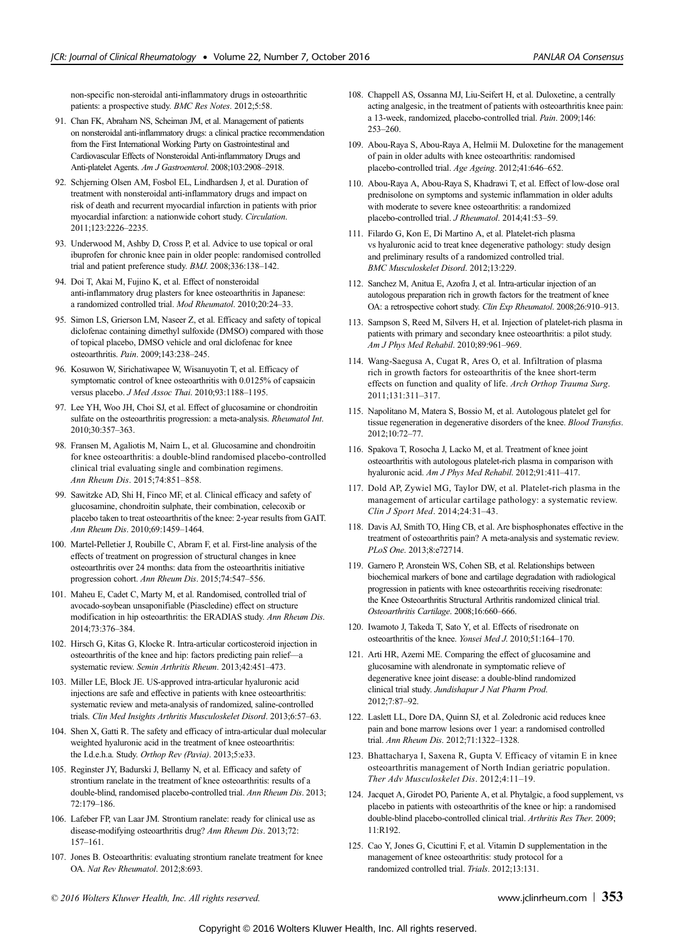non-specific non-steroidal anti-inflammatory drugs in osteoarthritic patients: a prospective study. BMC Res Notes. 2012;5:58.

- 91. Chan FK, Abraham NS, Scheiman JM, et al. Management of patients on nonsteroidal anti-inflammatory drugs: a clinical practice recommendation from the First International Working Party on Gastrointestinal and Cardiovascular Effects of Nonsteroidal Anti-inflammatory Drugs and Anti-platelet Agents. Am J Gastroenterol. 2008;103:2908–2918.
- 92. Schjerning Olsen AM, Fosbol EL, Lindhardsen J, et al. Duration of treatment with nonsteroidal anti-inflammatory drugs and impact on risk of death and recurrent myocardial infarction in patients with prior myocardial infarction: a nationwide cohort study. Circulation. 2011;123:2226–2235.
- 93. Underwood M, Ashby D, Cross P, et al. Advice to use topical or oral ibuprofen for chronic knee pain in older people: randomised controlled trial and patient preference study. BMJ. 2008;336:138–142.
- 94. Doi T, Akai M, Fujino K, et al. Effect of nonsteroidal anti-inflammatory drug plasters for knee osteoarthritis in Japanese: a randomized controlled trial. Mod Rheumatol. 2010;20:24–33.
- 95. Simon LS, Grierson LM, Naseer Z, et al. Efficacy and safety of topical diclofenac containing dimethyl sulfoxide (DMSO) compared with those of topical placebo, DMSO vehicle and oral diclofenac for knee osteoarthritis. Pain. 2009;143:238–245.
- 96. Kosuwon W, Sirichatiwapee W, Wisanuyotin T, et al. Efficacy of symptomatic control of knee osteoarthritis with 0.0125% of capsaicin versus placebo. J Med Assoc Thai. 2010;93:1188–1195.
- 97. Lee YH, Woo JH, Choi SJ, et al. Effect of glucosamine or chondroitin sulfate on the osteoarthritis progression: a meta-analysis. Rheumatol Int. 2010;30:357–363.
- 98. Fransen M, Agaliotis M, Nairn L, et al. Glucosamine and chondroitin for knee osteoarthritis: a double-blind randomised placebo-controlled clinical trial evaluating single and combination regimens. Ann Rheum Dis. 2015;74:851–858.
- 99. Sawitzke AD, Shi H, Finco MF, et al. Clinical efficacy and safety of glucosamine, chondroitin sulphate, their combination, celecoxib or placebo taken to treat osteoarthritis of the knee: 2-year results from GAIT. Ann Rheum Dis. 2010;69:1459–1464.
- 100. Martel-Pelletier J, Roubille C, Abram F, et al. First-line analysis of the effects of treatment on progression of structural changes in knee osteoarthritis over 24 months: data from the osteoarthritis initiative progression cohort. Ann Rheum Dis. 2015;74:547–556.
- 101. Maheu E, Cadet C, Marty M, et al. Randomised, controlled trial of avocado-soybean unsaponifiable (Piascledine) effect on structure modification in hip osteoarthritis: the ERADIAS study. Ann Rheum Dis. 2014;73:376–384.
- 102. Hirsch G, Kitas G, Klocke R. Intra-articular corticosteroid injection in osteoarthritis of the knee and hip: factors predicting pain relief—a systematic review. Semin Arthritis Rheum. 2013;42:451–473.
- 103. Miller LE, Block JE. US-approved intra-articular hyaluronic acid injections are safe and effective in patients with knee osteoarthritis: systematic review and meta-analysis of randomized, saline-controlled trials. Clin Med Insights Arthritis Musculoskelet Disord. 2013;6:57–63.
- 104. Shen X, Gatti R. The safety and efficacy of intra-articular dual molecular weighted hyaluronic acid in the treatment of knee osteoarthritis: the I.d.e.h.a. Study. Orthop Rev (Pavia). 2013;5:e33.
- 105. Reginster JY, Badurski J, Bellamy N, et al. Efficacy and safety of strontium ranelate in the treatment of knee osteoarthritis: results of a double-blind, randomised placebo-controlled trial. Ann Rheum Dis. 2013; 72:179–186.
- 106. Lafeber FP, van Laar JM. Strontium ranelate: ready for clinical use as disease-modifying osteoarthritis drug? Ann Rheum Dis. 2013;72: 157–161.
- 107. Jones B. Osteoarthritis: evaluating strontium ranelate treatment for knee OA. Nat Rev Rheumatol. 2012;8:693.
- 108. Chappell AS, Ossanna MJ, Liu-Seifert H, et al. Duloxetine, a centrally acting analgesic, in the treatment of patients with osteoarthritis knee pain: a 13-week, randomized, placebo-controlled trial. Pain. 2009;146: 253–260.
- 109. Abou-Raya S, Abou-Raya A, Helmii M. Duloxetine for the management of pain in older adults with knee osteoarthritis: randomised placebo-controlled trial. Age Ageing. 2012;41:646-652.
- 110. Abou-Raya A, Abou-Raya S, Khadrawi T, et al. Effect of low-dose oral prednisolone on symptoms and systemic inflammation in older adults with moderate to severe knee osteoarthritis: a randomized placebo-controlled trial. J Rheumatol. 2014;41:53–59.
- 111. Filardo G, Kon E, Di Martino A, et al. Platelet-rich plasma vs hyaluronic acid to treat knee degenerative pathology: study design and preliminary results of a randomized controlled trial. BMC Musculoskelet Disord. 2012;13:229.
- 112. Sanchez M, Anitua E, Azofra J, et al. Intra-articular injection of an autologous preparation rich in growth factors for the treatment of knee OA: a retrospective cohort study. Clin Exp Rheumatol. 2008;26:910–913.
- 113. Sampson S, Reed M, Silvers H, et al. Injection of platelet-rich plasma in patients with primary and secondary knee osteoarthritis: a pilot study. Am J Phys Med Rehabil. 2010;89:961–969.
- 114. Wang-Saegusa A, Cugat R, Ares O, et al. Infiltration of plasma rich in growth factors for osteoarthritis of the knee short-term effects on function and quality of life. Arch Orthop Trauma Surg. 2011;131:311–317.
- 115. Napolitano M, Matera S, Bossio M, et al. Autologous platelet gel for tissue regeneration in degenerative disorders of the knee. Blood Transfus. 2012;10:72–77.
- 116. Spakova T, Rosocha J, Lacko M, et al. Treatment of knee joint osteoarthritis with autologous platelet-rich plasma in comparison with hyaluronic acid. Am J Phys Med Rehabil. 2012;91:411–417.
- 117. Dold AP, Zywiel MG, Taylor DW, et al. Platelet-rich plasma in the management of articular cartilage pathology: a systematic review. Clin J Sport Med. 2014;24:31–43.
- 118. Davis AJ, Smith TO, Hing CB, et al. Are bisphosphonates effective in the treatment of osteoarthritis pain? A meta-analysis and systematic review. PLoS One. 2013;8:e72714.
- 119. Garnero P, Aronstein WS, Cohen SB, et al. Relationships between biochemical markers of bone and cartilage degradation with radiological progression in patients with knee osteoarthritis receiving risedronate: the Knee Osteoarthritis Structural Arthritis randomized clinical trial. Osteoarthritis Cartilage. 2008;16:660–666.
- 120. Iwamoto J, Takeda T, Sato Y, et al. Effects of risedronate on osteoarthritis of the knee. Yonsei Med J. 2010;51:164–170.
- 121. Arti HR, Azemi ME. Comparing the effect of glucosamine and glucosamine with alendronate in symptomatic relieve of degenerative knee joint disease: a double-blind randomized clinical trial study. Jundishapur J Nat Pharm Prod. 2012;7:87–92.
- 122. Laslett LL, Dore DA, Quinn SJ, et al. Zoledronic acid reduces knee pain and bone marrow lesions over 1 year: a randomised controlled trial. Ann Rheum Dis. 2012;71:1322–1328.
- 123. Bhattacharya I, Saxena R, Gupta V. Efficacy of vitamin E in knee osteoarthritis management of North Indian geriatric population. Ther Adv Musculoskelet Dis. 2012;4:11–19.
- 124. Jacquet A, Girodet PO, Pariente A, et al. Phytalgic, a food supplement, vs placebo in patients with osteoarthritis of the knee or hip: a randomised double-blind placebo-controlled clinical trial. Arthritis Res Ther. 2009; 11:R192.
- 125. Cao Y, Jones G, Cicuttini F, et al. Vitamin D supplementation in the management of knee osteoarthritis: study protocol for a randomized controlled trial. Trials. 2012;13:131.
- © 2016 Wolters Kluwer Health, Inc. All rights reserved. <www.jclinrheum.com>  $\,$  353